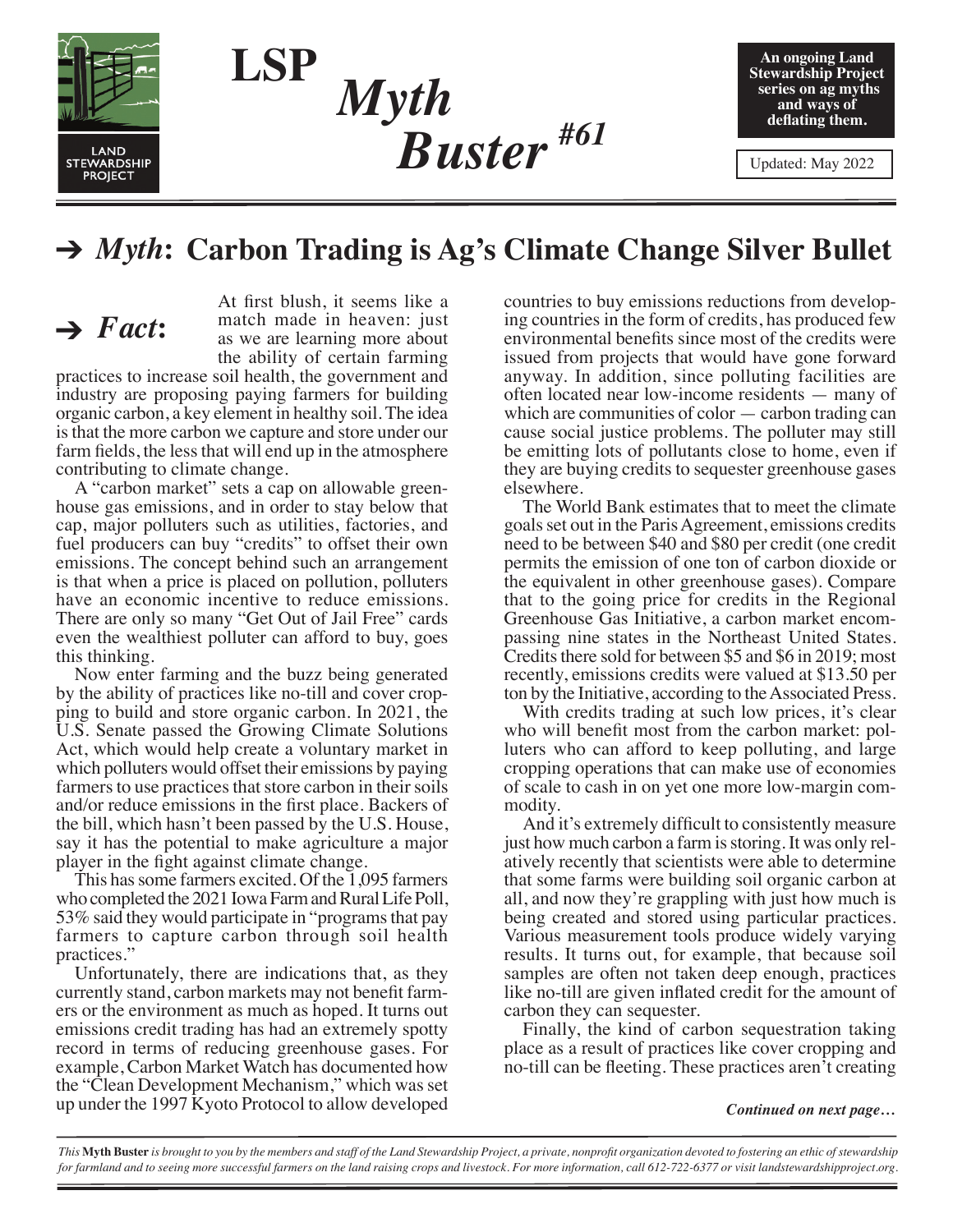

*Myth*<br>**Ruster**#61 *Myth Buster*

**An ongoing Land Stewardship Project series on ag myths and ways of deflating them.**

Updated: May 2022

# → *Myth*: Carbon Trading is Ag's Climate Change Silver Bullet

## *Fact***:**  $\ddot{\phantom{a}}$

At first blush, it seems like a match made in heaven: just as we are learning more about the ability of certain farming

practices to increase soil health, the government and industry are proposing paying farmers for building organic carbon, a key element in healthy soil. The idea is that the more carbon we capture and store under our farm fields, the less that will end up in the atmosphere contributing to climate change.

**LSP**

A "carbon market" sets a cap on allowable greenhouse gas emissions, and in order to stay below that cap, major polluters such as utilities, factories, and fuel producers can buy "credits" to offset their own emissions. The concept behind such an arrangement is that when a price is placed on pollution, polluters have an economic incentive to reduce emissions. There are only so many "Get Out of Jail Free" cards even the wealthiest polluter can afford to buy, goes this thinking.

Now enter farming and the buzz being generated by the ability of practices like no-till and cover cropping to build and store organic carbon. In 2021, the U.S. Senate passed the Growing Climate Solutions Act, which would help create a voluntary market in which polluters would offset their emissions by paying farmers to use practices that store carbon in their soils and/or reduce emissions in the first place. Backers of the bill, which hasn't been passed by the U.S. House, say it has the potential to make agriculture a major player in the fight against climate change.

This has some farmers excited. Of the 1,095 farmers who completed the 2021 Iowa Farm and Rural Life Poll, 53% said they would participate in "programs that pay farmers to capture carbon through soil health practices."

Unfortunately, there are indications that, as they currently stand, carbon markets may not benefit farm- ers or the environment as much as hoped. It turns out emissions credit trading has had an extremely spotty record in terms of reducing greenhouse gases. For example, Carbon Market Watch has documented how the "Clean Development Mechanism," which was set up under the 1997 Kyoto Protocol to allow developed

countries to buy emissions reductions from developing countries in the form of credits, has produced few environmental benefits since most of the credits were issued from projects that would have gone forward anyway. In addition, since polluting facilities are often located near low-income residents — many of which are communities of color — carbon trading can cause social justice problems. The polluter may still be emitting lots of pollutants close to home, even if they are buying credits to sequester greenhouse gases elsewhere.

The World Bank estimates that to meet the climate goals set out in the Paris Agreement, emissions credits need to be between \$40 and \$80 per credit (one credit permits the emission of one ton of carbon dioxide or the equivalent in other greenhouse gases). Compare that to the going price for credits in the Regional Greenhouse Gas Initiative, a carbon market encompassing nine states in the Northeast United States. Credits there sold for between \$5 and \$6 in 2019; most recently, emissions credits were valued at \$13.50 per ton by the Initiative, according to the Associated Press.

With credits trading at such low prices, it's clear who will benefit most from the carbon market: polluters who can afford to keep polluting, and large cropping operations that can make use of economies of scale to cash in on yet one more low-margin commodity.

And it's extremely difficult to consistently measure just how much carbon a farm is storing. It was only relatively recently that scientists were able to determine that some farms were building soil organic carbon at all, and now they're grappling with just how much is being created and stored using particular practices. Various measurement tools produce widely varying results. It turns out, for example, that because soil samples are often not taken deep enough, practices like no-till are given inflated credit for the amount of carbon they can sequester.

Finally, the kind of carbon sequestration taking place as a result of practices like cover cropping and no-till can be fleeting. These practices aren't creating

*Continued on next page…*

*This* **Myth Buster** *is brought to you by the members and staff of the Land Stewardship Project, a private, nonprofit organization devoted to fostering an ethic of stewardship for farmland and to seeing more successful farmers on the land raising crops and livestock. For more information, call 612-722-6377 or visit landstewardshipproject.org.*